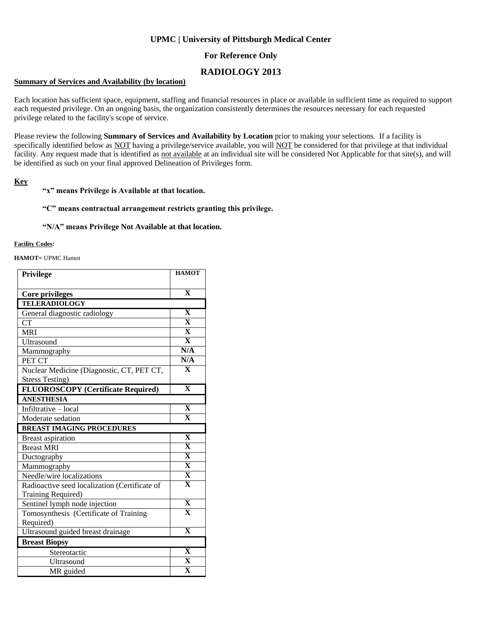## **UPMC | University of Pittsburgh Medical Center**

## **For Reference Only**

# **RADIOLOGY 2013**

#### **Summary of Services and Availability (by location)**

Each location has sufficient space, equipment, staffing and financial resources in place or available in sufficient time as required to support each requested privilege. On an ongoing basis, the organization consistently determines the resources necessary for each requested privilege related to the facility's scope of service.

Please review the following **Summary of Services and Availability by Location** prior to making your selections. If a facility is specifically identified below as NOT having a privilege/service available, you will NOT be considered for that privilege at that individual facility. Any request made that is identified as not available at an individual site will be considered Not Applicable for that site(s), and will be identified as such on your final approved Delineation of Privileges form.

### **Key**

### **"x" means Privilege is Available at that location.**

### **"C" means contractual arrangement restricts granting this privilege.**

#### **"N/A" means Privilege Not Available at that location.**

#### **Facility Codes:**

**HAMOT=** UPMC Hamot

| Privilege                                     | <b>HAMOT</b>            |
|-----------------------------------------------|-------------------------|
|                                               | $\overline{\mathbf{X}}$ |
| <b>Core privileges</b>                        |                         |
| <b>TELERADIOLOGY</b>                          |                         |
| General diagnostic radiology                  | $\mathbf{X}$            |
| <b>CT</b>                                     | $\overline{\mathbf{X}}$ |
| <b>MRI</b>                                    | $\overline{\mathbf{X}}$ |
| Ultrasound                                    | $\overline{\mathbf{x}}$ |
| Mammography                                   | N/A                     |
| PET CT                                        | N/A                     |
| Nuclear Medicine (Diagnostic, CT, PET CT,     | $\overline{\mathbf{X}}$ |
| <b>Stress Testing)</b>                        |                         |
| <b>FLUOROSCOPY</b> (Certificate Required)     | $\overline{\mathbf{X}}$ |
| <b>ANESTHESIA</b>                             |                         |
| Infiltrative - local                          | $\overline{\mathbf{X}}$ |
| Moderate sedation                             | $\overline{\mathbf{X}}$ |
| <b>BREAST IMAGING PROCEDURES</b>              |                         |
| <b>Breast aspiration</b>                      | $\overline{\mathbf{X}}$ |
| <b>Breast MRI</b>                             | $\overline{\mathbf{X}}$ |
| Ductography                                   | $\overline{\mathbf{X}}$ |
| Mammography                                   | $\overline{\mathbf{X}}$ |
| Needle/wire localizations                     | $\overline{\mathbf{X}}$ |
| Radioactive seed localization (Certificate of | $\overline{\mathbf{X}}$ |
| Training Required)                            |                         |
| Sentinel lymph node injection                 | $\overline{\mathbf{X}}$ |
| Tomosynthesis (Certificate of Training        | $\overline{\mathbf{X}}$ |
| Required)                                     |                         |
| Ultrasound guided breast drainage             | $\overline{\mathbf{X}}$ |
| <b>Breast Biopsy</b>                          |                         |
| Stereotactic                                  | $\overline{\mathbf{X}}$ |
| Ultrasound                                    | $\mathbf X$             |
| MR guided                                     | $\overline{\mathbf{X}}$ |